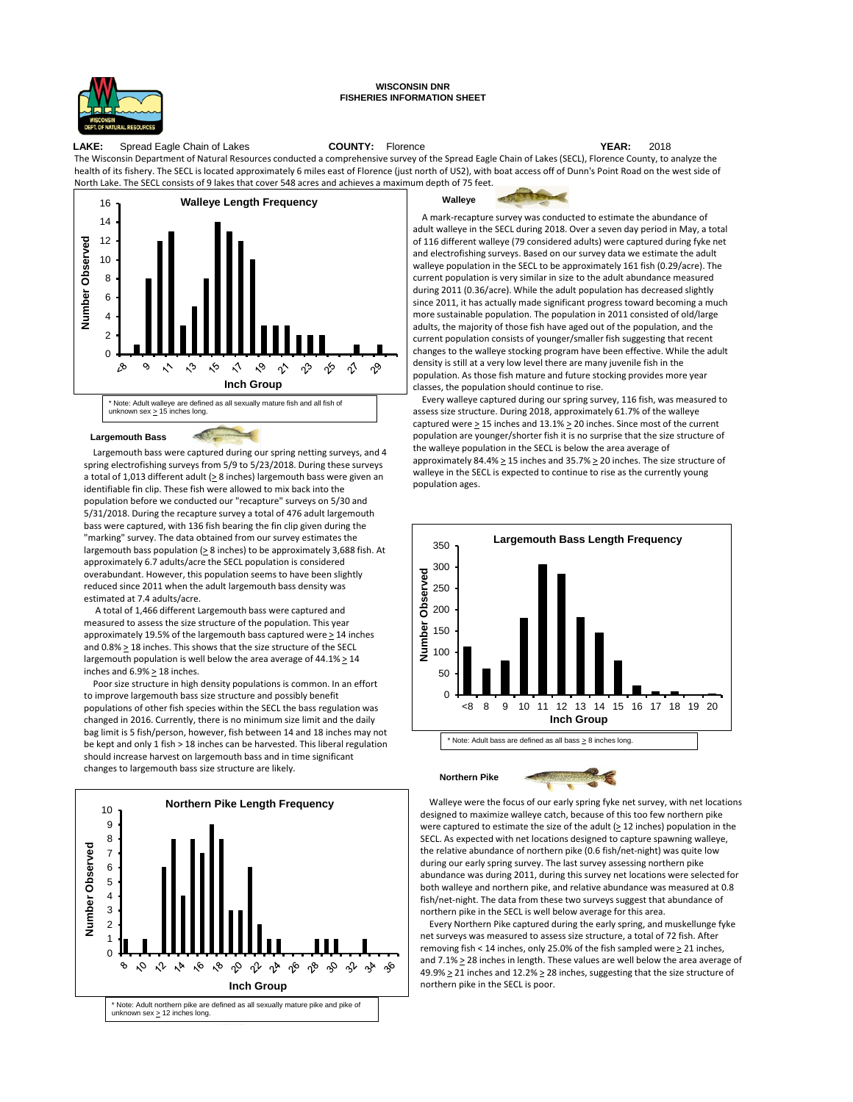

## **WISCONSIN DNR FISHERIES INFORMATION SHEET**

**LAKE:** Spread Eagle Chain of Lakes **COUNTY:** Florence **YEAR:** 2018 The Wisconsin Department of Natural Resources conducted a comprehensive survey of the Spread Eagle Chain of Lakes (SECL), Florence County, to analyze the health of its fishery. The SECL is located approximately 6 miles east of Florence (just north of US2), with boat access off of Dunn's Point Road on the west side of North Lake. The SECL consists of 9 lakes that cover 548 acres and achieves a maximum depth of 75 feet.



## **Largemouth Bass**

Largemouth bass were captured during our spring netting surveys, and 4 spring electrofishing surveys from 5/9 to 5/23/2018. During these surveys a total of 1,013 different adult  $( \geq 8 \text{ inches})$  largemouth bass were given an identifiable fin clip. These fish were allowed to mix back into the population before we conducted our "recapture" surveys on 5/30 and 5/31/2018. During the recapture survey a total of 476 adult largemouth bass were captured, with 136 fish bearing the fin clip given during the "marking" survey. The data obtained from our survey estimates the largemouth bass population ( $\geq$  8 inches) to be approximately 3,688 fish. At approximately 6.7 adults/acre the SECL population is considered overabundant. However, this population seems to have been slightly reduced since 2011 when the adult largemouth bass density was estimated at 7.4 adults/acre.

 $\sim$ 

A total of 1,466 different Largemouth bass were captured and measured to assess the size structure of the population. This year approximately 19.5% of the largemouth bass captured were  $\geq$  14 inches and 0.8% > 18 inches. This shows that the size structure of the SECL largemouth population is well below the area average of  $44.1\% \geq 14$ inches and 6.9% > 18 inches.

Poor size structure in high density populations is common. In an effort to improve largemouth bass size structure and possibly benefit populations of other fish species within the SECL the bass regulation was changed in 2016. Currently, there is no minimum size limit and the daily bag limit is 5 fish/person, however, fish between 14 and 18 inches may not be kept and only 1 fish > 18 inches can be harvested. This liberal regulation should increase harvest on largemouth bass and in time significant changes to largemouth bass size structure are likely.





A mark-recapture survey was conducted to estimate the abundance of adult walleye in the SECL during 2018. Over a seven day period in May, a total of 116 different walleye (79 considered adults) were captured during fyke net and electrofishing surveys. Based on our survey data we estimate the adult walleye population in the SECL to be approximately 161 fish (0.29/acre). The current population is very similar in size to the adult abundance measured during 2011 (0.36/acre). While the adult population has decreased slightly since 2011, it has actually made significant progress toward becoming a much more sustainable population. The population in 2011 consisted of old/large adults, the majority of those fish have aged out of the population, and the current population consists of younger/smaller fish suggesting that recent changes to the walleye stocking program have been effective. While the adult density is still at a very low level there are many juvenile fish in the population. As those fish mature and future stocking provides more year classes, the population should continue to rise.

Every walleye captured during our spring survey, 116 fish, was measured to assess size structure. During 2018, approximately 61.7% of the walleye captured were  $\geq$  15 inches and 13.1%  $\geq$  20 inches. Since most of the current population are younger/shorter fish it is no surprise that the size structure of the walleye population in the SECL is below the area average of approximately 84.4%  $\geq$  15 inches and 35.7%  $\geq$  20 inches. The size structure of walleye in the SECL is expected to continue to rise as the currently young population ages.



Walleye were the focus of our early spring fyke net survey, with net locations designed to maximize walleye catch, because of this too few northern pike were captured to estimate the size of the adult  $( \geq 12 \text{ inches})$  population in the SECL. As expected with net locations designed to capture spawning walleye, the relative abundance of northern pike (0.6 fish/net-night) was quite low during our early spring survey. The last survey assessing northern pike abundance was during 2011, during this survey net locations were selected for both walleye and northern pike, and relative abundance was measured at 0.8 fish/net-night. The data from these two surveys suggest that abundance of northern pike in the SECL is well below average for this area.

Every Northern Pike captured during the early spring, and muskellunge fyke net surveys was measured to assess size structure, a total of 72 fish. After removing fish < 14 inches, only 25.0% of the fish sampled were  $\geq$  21 inches, and  $7.1\% \geq 28$  inches in length. These values are well below the area average of 49.9%  $\geq$  21 inches and 12.2%  $\geq$  28 inches, suggesting that the size structure of northern pike in the SECL is poor.